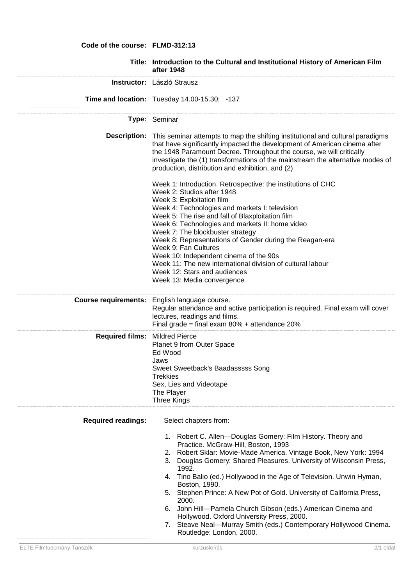| Code of the course: FLMD-312:13 |                                                                                                                                                                                                                                                                                                                                                                                                                                                                                                                                                                                                                                                                              |
|---------------------------------|------------------------------------------------------------------------------------------------------------------------------------------------------------------------------------------------------------------------------------------------------------------------------------------------------------------------------------------------------------------------------------------------------------------------------------------------------------------------------------------------------------------------------------------------------------------------------------------------------------------------------------------------------------------------------|
|                                 | Title: Introduction to the Cultural and Institutional History of American Film<br>after 1948                                                                                                                                                                                                                                                                                                                                                                                                                                                                                                                                                                                 |
|                                 | Instructor: László Strausz                                                                                                                                                                                                                                                                                                                                                                                                                                                                                                                                                                                                                                                   |
|                                 | Time and location: Tuesday 14.00-15.30; -137                                                                                                                                                                                                                                                                                                                                                                                                                                                                                                                                                                                                                                 |
|                                 | Type: Seminar                                                                                                                                                                                                                                                                                                                                                                                                                                                                                                                                                                                                                                                                |
|                                 | <b>Description:</b> This seminar attempts to map the shifting institutional and cultural paradigms<br>that have significantly impacted the development of American cinema after<br>the 1948 Paramount Decree. Throughout the course, we will critically<br>investigate the (1) transformations of the mainstream the alternative modes of<br>production, distribution and exhibition, and (2)                                                                                                                                                                                                                                                                                |
|                                 | Week 1: Introduction. Retrospective: the institutions of CHC<br>Week 2: Studios after 1948<br>Week 3: Exploitation film<br>Week 4: Technologies and markets I: television<br>Week 5: The rise and fall of Blaxploitation film<br>Week 6: Technologies and markets II: home video<br>Week 7: The blockbuster strategy<br>Week 8: Representations of Gender during the Reagan-era<br>Week 9: Fan Cultures<br>Week 10: Independent cinema of the 90s<br>Week 11: The new international division of cultural labour<br>Week 12: Stars and audiences<br>Week 13: Media convergence                                                                                                |
|                                 | Course requirements: English language course.<br>Regular attendance and active participation is required. Final exam will cover<br>lectures, readings and films.<br>Final grade = final exam $80\%$ + attendance 20%                                                                                                                                                                                                                                                                                                                                                                                                                                                         |
| Required films: Mildred Pierce  | Planet 9 from Outer Space<br>Ed Wood<br>Jaws<br>Sweet Sweetback's Baadasssss Song<br><b>Trekkies</b><br>Sex, Lies and Videotape<br>The Player<br>Three Kings                                                                                                                                                                                                                                                                                                                                                                                                                                                                                                                 |
| <b>Required readings:</b>       | Select chapters from:<br>1. Robert C. Allen-Douglas Gomery: Film History. Theory and<br>Practice. McGraw-Hill, Boston, 1993<br>2. Robert Sklar: Movie-Made America. Vintage Book, New York: 1994<br>Douglas Gomery: Shared Pleasures. University of Wisconsin Press,<br>3.<br>1992.<br>4. Tino Balio (ed.) Hollywood in the Age of Television. Unwin Hyman,<br>Boston, 1990.<br>5. Stephen Prince: A New Pot of Gold. University of California Press,<br>2000.<br>6. John Hill-Pamela Church Gibson (eds.) American Cinema and<br>Hollywood. Oxford University Press, 2000.<br>7. Steave Neal-Murray Smith (eds.) Contemporary Hollywood Cinema.<br>Routledge: London, 2000. |